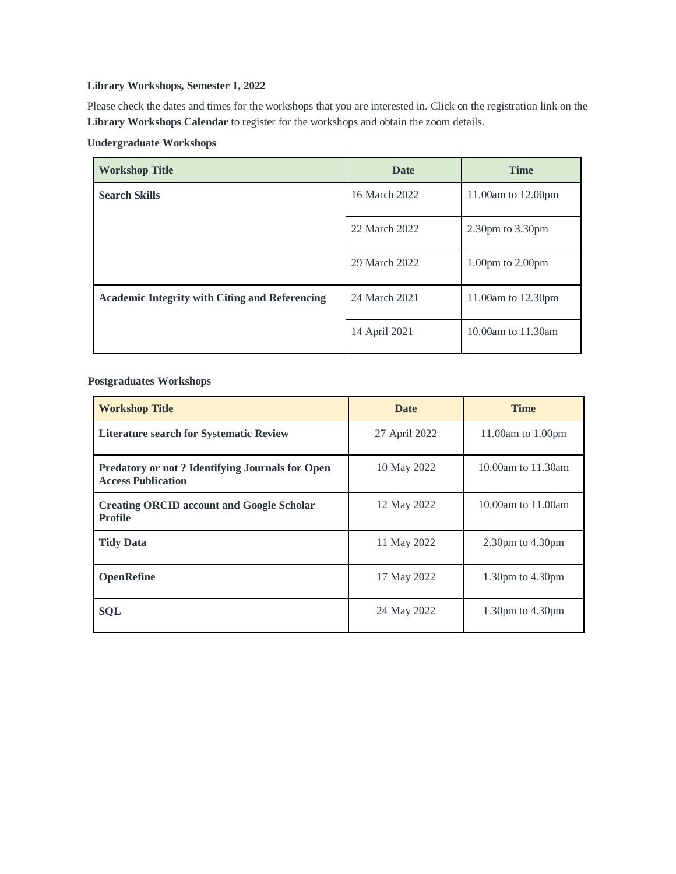## **Library Workshops, Semester 1, 2022**

Please check the dates and times for the workshops that you are interested in. Click on the registration link on the **Library Workshops Calendar** to register for the workshops and obtain the zoom details.

## **Undergraduate Workshops**

| <b>Workshop Title</b>                                 | <b>Date</b>   | <b>Time</b>            |
|-------------------------------------------------------|---------------|------------------------|
| <b>Search Skills</b>                                  | 16 March 2022 | 11.00am to 12.00pm     |
|                                                       | 22 March 2022 | $2.30$ pm to $3.30$ pm |
|                                                       | 29 March 2022 | $1.00pm$ to $2.00pm$   |
| <b>Academic Integrity with Citing and Referencing</b> | 24 March 2021 | 11.00am to 12.30pm     |
|                                                       | 14 April 2021 | 10.00am to 11.30am     |

 **Postgraduates Workshops**

| <b>Workshop Title</b>                                                        | <b>Date</b>   | <b>Time</b>            |
|------------------------------------------------------------------------------|---------------|------------------------|
| <b>Literature search for Systematic Review</b>                               | 27 April 2022 | 11.00am to 1.00pm      |
| Predatory or not? Identifying Journals for Open<br><b>Access Publication</b> | 10 May 2022   | 10.00am to 11.30am     |
| <b>Creating ORCID account and Google Scholar</b><br><b>Profile</b>           | 12 May 2022   | 10.00am to 11.00am     |
| <b>Tidy Data</b>                                                             | 11 May 2022   | $2.30$ pm to $4.30$ pm |
| <b>OpenRefine</b>                                                            | 17 May 2022   | 1.30pm to $4.30$ pm    |
| <b>SQL</b>                                                                   | 24 May 2022   | 1.30pm to $4.30$ pm    |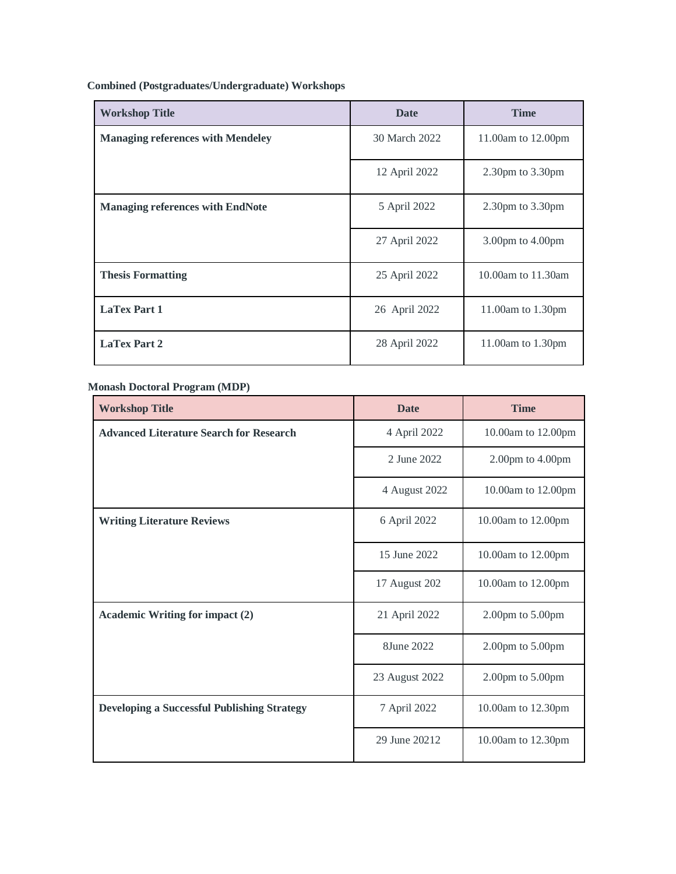**Combined (Postgraduates/Undergraduate) Workshops**

| <b>Workshop Title</b>                    | <b>Date</b>   | <b>Time</b>                          |
|------------------------------------------|---------------|--------------------------------------|
| <b>Managing references with Mendeley</b> | 30 March 2022 | 11.00am to 12.00pm                   |
|                                          | 12 April 2022 | $2.30$ pm to $3.30$ pm               |
| <b>Managing references with EndNote</b>  | 5 April 2022  | $2.30pm$ to $3.30pm$                 |
|                                          | 27 April 2022 | $3.00 \text{pm}$ to $4.00 \text{pm}$ |
| <b>Thesis Formatting</b>                 | 25 April 2022 | 10.00am to 11.30am                   |
| <b>LaTex Part 1</b>                      | 26 April 2022 | 11.00am to 1.30pm                    |
| <b>LaTex Part 2</b>                      | 28 April 2022 | 11.00am to 1.30pm                    |

## **Monash Doctoral Program (MDP)**

| <b>Workshop Title</b>                              | <b>Date</b>    | <b>Time</b>        |
|----------------------------------------------------|----------------|--------------------|
| <b>Advanced Literature Search for Research</b>     | 4 April 2022   | 10.00am to 12.00pm |
|                                                    | 2 June 2022    | 2.00pm to 4.00pm   |
|                                                    | 4 August 2022  | 10.00am to 12.00pm |
| <b>Writing Literature Reviews</b>                  | 6 April 2022   | 10.00am to 12.00pm |
|                                                    | 15 June 2022   | 10.00am to 12.00pm |
|                                                    | 17 August 202  | 10.00am to 12.00pm |
| <b>Academic Writing for impact (2)</b>             | 21 April 2022  | 2.00pm to 5.00pm   |
|                                                    | 8June 2022     | 2.00pm to 5.00pm   |
|                                                    | 23 August 2022 | 2.00pm to 5.00pm   |
| <b>Developing a Successful Publishing Strategy</b> | 7 April 2022   | 10.00am to 12.30pm |
|                                                    | 29 June 20212  | 10.00am to 12.30pm |